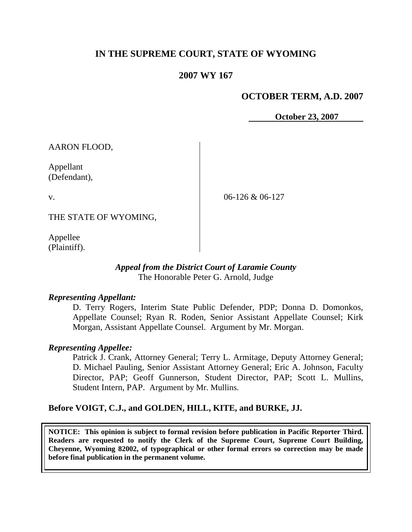# **IN THE SUPREME COURT, STATE OF WYOMING**

## **2007 WY 167**

## **OCTOBER TERM, A.D. 2007**

**October 23, 2007**

AARON FLOOD,

Appellant (Defendant),

v.

06-126 & 06-127

THE STATE OF WYOMING,

Appellee (Plaintiff).

### *Appeal from the District Court of Laramie County* The Honorable Peter G. Arnold, Judge

#### *Representing Appellant:*

D. Terry Rogers, Interim State Public Defender, PDP; Donna D. Domonkos, Appellate Counsel; Ryan R. Roden, Senior Assistant Appellate Counsel; Kirk Morgan, Assistant Appellate Counsel. Argument by Mr. Morgan.

## *Representing Appellee:*

Patrick J. Crank, Attorney General; Terry L. Armitage, Deputy Attorney General; D. Michael Pauling, Senior Assistant Attorney General; Eric A. Johnson, Faculty Director, PAP; Geoff Gunnerson, Student Director, PAP; Scott L. Mullins, Student Intern, PAP. Argument by Mr. Mullins.

## **Before VOIGT, C.J., and GOLDEN, HILL, KITE, and BURKE, JJ.**

**NOTICE: This opinion is subject to formal revision before publication in Pacific Reporter Third. Readers are requested to notify the Clerk of the Supreme Court, Supreme Court Building, Cheyenne, Wyoming 82002, of typographical or other formal errors so correction may be made before final publication in the permanent volume.**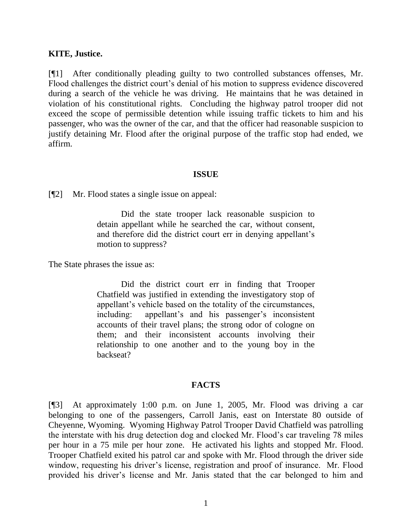#### **KITE, Justice.**

[¶1] After conditionally pleading guilty to two controlled substances offenses, Mr. Flood challenges the district court's denial of his motion to suppress evidence discovered during a search of the vehicle he was driving. He maintains that he was detained in violation of his constitutional rights. Concluding the highway patrol trooper did not exceed the scope of permissible detention while issuing traffic tickets to him and his passenger, who was the owner of the car, and that the officer had reasonable suspicion to justify detaining Mr. Flood after the original purpose of the traffic stop had ended, we affirm.

#### **ISSUE**

[¶2] Mr. Flood states a single issue on appeal:

Did the state trooper lack reasonable suspicion to detain appellant while he searched the car, without consent, and therefore did the district court err in denying appellant's motion to suppress?

The State phrases the issue as:

Did the district court err in finding that Trooper Chatfield was justified in extending the investigatory stop of appellant"s vehicle based on the totality of the circumstances, including: appellant's and his passenger's inconsistent accounts of their travel plans; the strong odor of cologne on them; and their inconsistent accounts involving their relationship to one another and to the young boy in the backseat?

#### **FACTS**

[¶3] At approximately 1:00 p.m. on June 1, 2005, Mr. Flood was driving a car belonging to one of the passengers, Carroll Janis, east on Interstate 80 outside of Cheyenne, Wyoming. Wyoming Highway Patrol Trooper David Chatfield was patrolling the interstate with his drug detection dog and clocked Mr. Flood"s car traveling 78 miles per hour in a 75 mile per hour zone. He activated his lights and stopped Mr. Flood. Trooper Chatfield exited his patrol car and spoke with Mr. Flood through the driver side window, requesting his driver's license, registration and proof of insurance. Mr. Flood provided his driver"s license and Mr. Janis stated that the car belonged to him and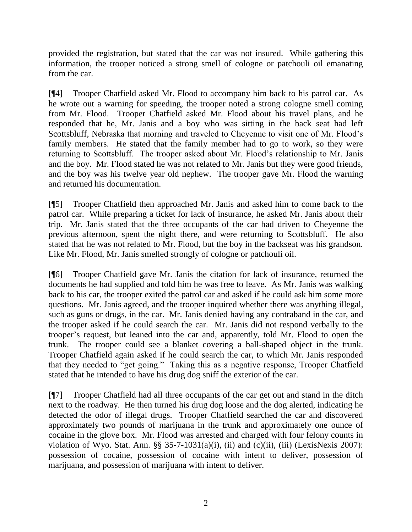provided the registration, but stated that the car was not insured. While gathering this information, the trooper noticed a strong smell of cologne or patchouli oil emanating from the car.

[¶4] Trooper Chatfield asked Mr. Flood to accompany him back to his patrol car. As he wrote out a warning for speeding, the trooper noted a strong cologne smell coming from Mr. Flood. Trooper Chatfield asked Mr. Flood about his travel plans, and he responded that he, Mr. Janis and a boy who was sitting in the back seat had left Scottsbluff, Nebraska that morning and traveled to Cheyenne to visit one of Mr. Flood"s family members. He stated that the family member had to go to work, so they were returning to Scottsbluff. The trooper asked about Mr. Flood"s relationship to Mr. Janis and the boy. Mr. Flood stated he was not related to Mr. Janis but they were good friends, and the boy was his twelve year old nephew. The trooper gave Mr. Flood the warning and returned his documentation.

[¶5] Trooper Chatfield then approached Mr. Janis and asked him to come back to the patrol car. While preparing a ticket for lack of insurance, he asked Mr. Janis about their trip. Mr. Janis stated that the three occupants of the car had driven to Cheyenne the previous afternoon, spent the night there, and were returning to Scottsbluff. He also stated that he was not related to Mr. Flood, but the boy in the backseat was his grandson. Like Mr. Flood, Mr. Janis smelled strongly of cologne or patchouli oil.

[¶6] Trooper Chatfield gave Mr. Janis the citation for lack of insurance, returned the documents he had supplied and told him he was free to leave. As Mr. Janis was walking back to his car, the trooper exited the patrol car and asked if he could ask him some more questions. Mr. Janis agreed, and the trooper inquired whether there was anything illegal, such as guns or drugs, in the car. Mr. Janis denied having any contraband in the car, and the trooper asked if he could search the car. Mr. Janis did not respond verbally to the trooper"s request, but leaned into the car and, apparently, told Mr. Flood to open the trunk. The trooper could see a blanket covering a ball-shaped object in the trunk. Trooper Chatfield again asked if he could search the car, to which Mr. Janis responded that they needed to "get going." Taking this as a negative response, Trooper Chatfield stated that he intended to have his drug dog sniff the exterior of the car.

[¶7] Trooper Chatfield had all three occupants of the car get out and stand in the ditch next to the roadway. He then turned his drug dog loose and the dog alerted, indicating he detected the odor of illegal drugs. Trooper Chatfield searched the car and discovered approximately two pounds of marijuana in the trunk and approximately one ounce of cocaine in the glove box. Mr. Flood was arrested and charged with four felony counts in violation of Wyo. Stat. Ann.  $\S$ § 35-7-1031(a)(i), (ii) and (c)(ii), (iii) (LexisNexis 2007): possession of cocaine, possession of cocaine with intent to deliver, possession of marijuana, and possession of marijuana with intent to deliver.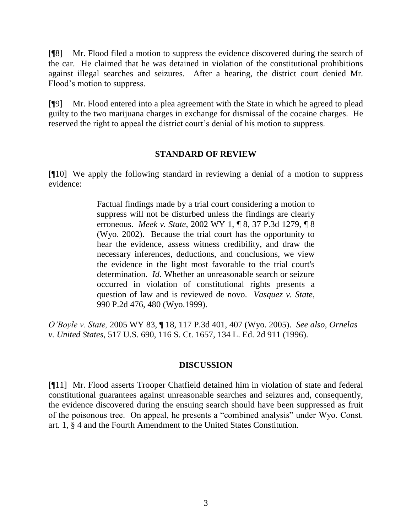[¶8] Mr. Flood filed a motion to suppress the evidence discovered during the search of the car. He claimed that he was detained in violation of the constitutional prohibitions against illegal searches and seizures. After a hearing, the district court denied Mr. Flood"s motion to suppress.

[¶9] Mr. Flood entered into a plea agreement with the State in which he agreed to plead guilty to the two marijuana charges in exchange for dismissal of the cocaine charges. He reserved the right to appeal the district court's denial of his motion to suppress.

### **STANDARD OF REVIEW**

[¶10] We apply the following standard in reviewing a denial of a motion to suppress evidence:

> Factual findings made by a trial court considering a motion to suppress will not be disturbed unless the findings are clearly erroneous. *Meek v. State*, 2002 WY 1, ¶ 8, 37 P.3d 1279, ¶ 8 (Wyo. 2002). Because the trial court has the opportunity to hear the evidence, assess witness credibility, and draw the necessary inferences, deductions, and conclusions, we view the evidence in the light most favorable to the trial court's determination. *Id.* Whether an unreasonable search or seizure occurred in violation of constitutional rights presents a question of law and is reviewed de novo. *Vasquez v. State*, 990 P.2d 476, 480 (Wyo.1999).

*O'Boyle v. State,* 2005 WY 83, ¶ 18, 117 P.3d 401, 407 (Wyo. 2005). *See also*, *Ornelas v. United States,* 517 U.S. 690, 116 S. Ct. 1657, 134 L. Ed. 2d 911 (1996).

## **DISCUSSION**

[¶11] Mr. Flood asserts Trooper Chatfield detained him in violation of state and federal constitutional guarantees against unreasonable searches and seizures and, consequently, the evidence discovered during the ensuing search should have been suppressed as fruit of the poisonous tree. On appeal, he presents a "combined analysis" under Wyo. Const. art. 1, § 4 and the Fourth Amendment to the United States Constitution.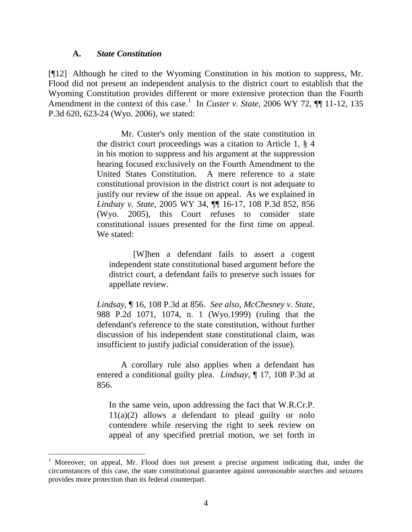#### **A.** *State Constitution*

[¶12] Although he cited to the Wyoming Constitution in his motion to suppress, Mr. Flood did not present an independent analysis to the district court to establish that the Wyoming Constitution provides different or more extensive protection than the Fourth Amendment in the context of this case.<sup>1</sup> In *Custer v. State,* 2006 WY 72,  $\P\P$  11-12, 135 P.3d 620, 623-24 (Wyo. 2006)*,* we stated:

> Mr. Custer's only mention of the state constitution in the district court proceedings was a citation to Article 1, § 4 in his motion to suppress and his argument at the suppression hearing focused exclusively on the Fourth Amendment to the United States Constitution. A mere reference to a state constitutional provision in the district court is not adequate to justify our review of the issue on appeal. As we explained in *Lindsay v. State*, 2005 WY 34, ¶¶ 16-17, 108 P.3d 852, 856 (Wyo. 2005), this Court refuses to consider state constitutional issues presented for the first time on appeal. We stated:

[W]hen a defendant fails to assert a cogent independent state constitutional based argument before the district court, a defendant fails to preserve such issues for appellate review.

*Lindsay*, ¶ 16, 108 P.3d at 856. *See also*, *McChesney v. State*, 988 P.2d 1071, 1074, n. 1 (Wyo.1999) (ruling that the defendant's reference to the state constitution, without further discussion of his independent state constitutional claim, was insufficient to justify judicial consideration of the issue).

A corollary rule also applies when a defendant has entered a conditional guilty plea. *Lindsay*, ¶ 17, 108 P.3d at 856.

In the same vein, upon addressing the fact that W.R.Cr.P.  $11(a)(2)$  allows a defendant to plead guilty or nolo contendere while reserving the right to seek review on appeal of any specified pretrial motion, we set forth in

<sup>1</sup> Moreover, on appeal, Mr. Flood does not present a precise argument indicating that, under the circumstances of this case, the state constitutional guarantee against unreasonable searches and seizures provides more protection than its federal counterpart.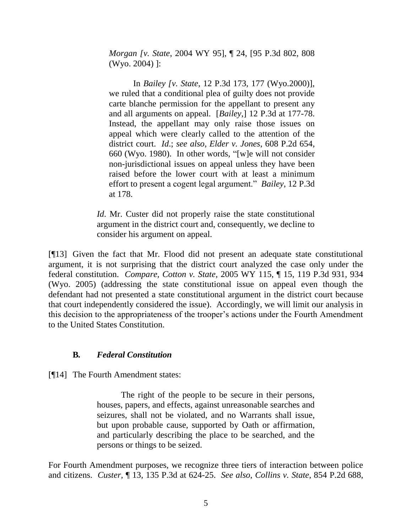*Morgan [v. State*, 2004 WY 95], ¶ 24, [95 P.3d 802, 808 (Wyo. 2004) ]:

In *Bailey [v. State*, 12 P.3d 173, 177 (Wyo.2000)], we ruled that a conditional plea of guilty does not provide carte blanche permission for the appellant to present any and all arguments on appeal. [*Bailey*,] 12 P.3d at 177-78. Instead, the appellant may only raise those issues on appeal which were clearly called to the attention of the district court. *Id*.; *see also*, *Elder v. Jones*, 608 P.2d 654, 660 (Wyo. 1980). In other words, "[w]e will not consider non-jurisdictional issues on appeal unless they have been raised before the lower court with at least a minimum effort to present a cogent legal argument." *Bailey*, 12 P.3d at 178.

*Id.* Mr. Custer did not properly raise the state constitutional argument in the district court and, consequently, we decline to consider his argument on appeal.

[¶13] Given the fact that Mr. Flood did not present an adequate state constitutional argument, it is not surprising that the district court analyzed the case only under the federal constitution. *Compare, Cotton v. State,* 2005 WY 115, ¶ 15, 119 P.3d 931, 934 (Wyo. 2005) (addressing the state constitutional issue on appeal even though the defendant had not presented a state constitutional argument in the district court because that court independently considered the issue). Accordingly, we will limit our analysis in this decision to the appropriateness of the trooper"s actions under the Fourth Amendment to the United States Constitution.

## **B***. Federal Constitution*

[¶14] The Fourth Amendment states:

The right of the people to be secure in their persons, houses, papers, and effects, against unreasonable searches and seizures, shall not be violated, and no Warrants shall issue, but upon probable cause, supported by Oath or affirmation, and particularly describing the place to be searched, and the persons or things to be seized.

For Fourth Amendment purposes, we recognize three tiers of interaction between police and citizens. *Custer,* ¶ 13, 135 P.3d at 624-25. *See also*, *Collins v. State*, 854 P.2d 688,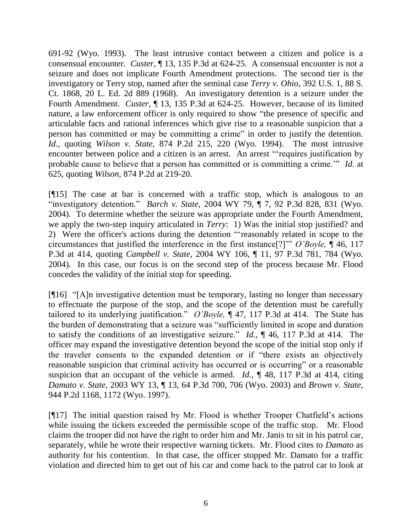691-92 (Wyo. 1993). The least intrusive contact between a citizen and police is a consensual encounter. *Custer*, ¶ 13, 135 P.3d at 624-25.A consensual encounter is not a seizure and does not implicate Fourth Amendment protections. The second tier is the investigatory or Terry stop, named after the seminal case *Terry v. Ohio*, 392 U.S. 1, 88 S. Ct. 1868, 20 L. Ed. 2d 889 (1968). An investigatory detention is a seizure under the Fourth Amendment. *Custer,* ¶ 13, 135 P.3d at 624-25. However, because of its limited nature, a law enforcement officer is only required to show "the presence of specific and articulable facts and rational inferences which give rise to a reasonable suspicion that a person has committed or may be committing a crime" in order to justify the detention. *Id.,* quoting *Wilson v. State,* 874 P.2d 215, 220 (Wyo. 1994). The most intrusive encounter between police and a citizen is an arrest. An arrest ""requires justification by probable cause to believe that a person has committed or is committing a crime."" *Id*. at 625, quoting *Wilson,* 874 P.2d at 219-20.

[¶15] The case at bar is concerned with a traffic stop, which is analogous to an "investigatory detention." *Barch v. State,* 2004 WY 79, ¶ 7, 92 P.3d 828, 831 (Wyo. 2004). To determine whether the seizure was appropriate under the Fourth Amendment, we apply the two-step inquiry articulated in *Terry*: 1) Was the initial stop justified? and 2) Were the officer's actions during the detention ""reasonably related in scope to the circumstances that justified the interference in the first instance[?]"" *O'Boyle,* ¶ 46, 117 P.3d at 414, quoting *Campbell v. State*, 2004 WY 106, ¶ 11, 97 P.3d 781, 784 (Wyo. 2004). In this case, our focus is on the second step of the process because Mr. Flood concedes the validity of the initial stop for speeding.

[¶16] "[A]n investigative detention must be temporary, lasting no longer than necessary to effectuate the purpose of the stop, and the scope of the detention must be carefully tailored to its underlying justification." *O'Boyle,* ¶ 47, 117 P.3d at 414. The State has the burden of demonstrating that a seizure was "sufficiently limited in scope and duration to satisfy the conditions of an investigative seizure." *Id.,* ¶ 46, 117 P.3d at 414. The officer may expand the investigative detention beyond the scope of the initial stop only if the traveler consents to the expanded detention or if "there exists an objectively reasonable suspicion that criminal activity has occurred or is occurring" or a reasonable suspicion that an occupant of the vehicle is armed. *Id.,* ¶ 48, 117 P.3d at 414, citing *Damato v. State,* 2003 WY 13, ¶ 13, 64 P.3d 700, 706 (Wyo. 2003) and *Brown v. State,*  944 P.2d 1168, 1172 (Wyo. 1997).

[¶17] The initial question raised by Mr. Flood is whether Trooper Chatfield"s actions while issuing the tickets exceeded the permissible scope of the traffic stop. Mr. Flood claims the trooper did not have the right to order him and Mr. Janis to sit in his patrol car, separately, while he wrote their respective warning tickets. Mr. Flood cites to *Damato* as authority for his contention. In that case, the officer stopped Mr. Damato for a traffic violation and directed him to get out of his car and come back to the patrol car to look at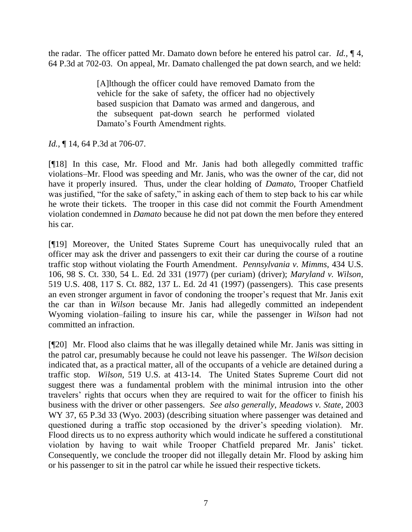the radar. The officer patted Mr. Damato down before he entered his patrol car. *Id.,* ¶ 4, 64 P.3d at 702-03. On appeal, Mr. Damato challenged the pat down search, and we held:

> [A]lthough the officer could have removed Damato from the vehicle for the sake of safety, the officer had no objectively based suspicion that Damato was armed and dangerous, and the subsequent pat-down search he performed violated Damato"s Fourth Amendment rights.

*Id.*, ¶ 14, 64 P.3d at 706-07.

[¶18] In this case, Mr. Flood and Mr. Janis had both allegedly committed traffic violations–Mr. Flood was speeding and Mr. Janis, who was the owner of the car, did not have it properly insured. Thus, under the clear holding of *Damato,* Trooper Chatfield was justified, "for the sake of safety," in asking each of them to step back to his car while he wrote their tickets. The trooper in this case did not commit the Fourth Amendment violation condemned in *Damato* because he did not pat down the men before they entered his car.

[¶19] Moreover, the United States Supreme Court has unequivocally ruled that an officer may ask the driver and passengers to exit their car during the course of a routine traffic stop without violating the Fourth Amendment. *Pennsylvania v. Mimms,* 434 U.S. 106, 98 S. Ct. 330, 54 L. Ed. 2d 331 (1977) (per curiam) (driver); *Maryland v. Wilson,*  519 U.S. 408, 117 S. Ct. 882, 137 L. Ed. 2d 41 (1997) (passengers). This case presents an even stronger argument in favor of condoning the trooper"s request that Mr. Janis exit the car than in *Wilson* because Mr. Janis had allegedly committed an independent Wyoming violation–failing to insure his car, while the passenger in *Wilson* had not committed an infraction.

[¶20] Mr. Flood also claims that he was illegally detained while Mr. Janis was sitting in the patrol car, presumably because he could not leave his passenger. The *Wilson* decision indicated that, as a practical matter, all of the occupants of a vehicle are detained during a traffic stop. *Wilson,* 519 U.S. at 413-14. The United States Supreme Court did not suggest there was a fundamental problem with the minimal intrusion into the other travelers" rights that occurs when they are required to wait for the officer to finish his business with the driver or other passengers. *See also generally*, *Meadows v. State,* 2003 WY 37, 65 P.3d 33 (Wyo. 2003) (describing situation where passenger was detained and questioned during a traffic stop occasioned by the driver"s speeding violation). Mr. Flood directs us to no express authority which would indicate he suffered a constitutional violation by having to wait while Trooper Chatfield prepared Mr. Janis' ticket. Consequently, we conclude the trooper did not illegally detain Mr. Flood by asking him or his passenger to sit in the patrol car while he issued their respective tickets.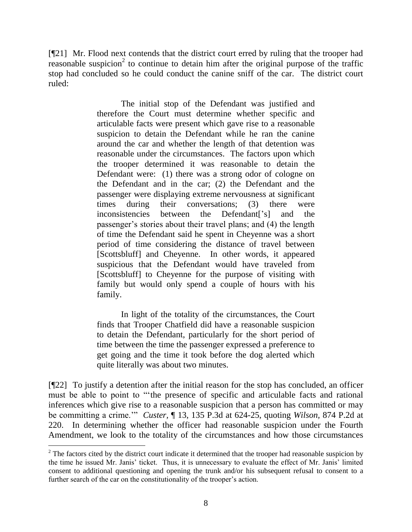[¶21] Mr. Flood next contends that the district court erred by ruling that the trooper had reasonable suspicion<sup>2</sup> to continue to detain him after the original purpose of the traffic stop had concluded so he could conduct the canine sniff of the car. The district court ruled:

> The initial stop of the Defendant was justified and therefore the Court must determine whether specific and articulable facts were present which gave rise to a reasonable suspicion to detain the Defendant while he ran the canine around the car and whether the length of that detention was reasonable under the circumstances. The factors upon which the trooper determined it was reasonable to detain the Defendant were: (1) there was a strong odor of cologne on the Defendant and in the car; (2) the Defendant and the passenger were displaying extreme nervousness at significant times during their conversations; (3) there were inconsistencies between the Defendant<sup>['s]</sup> and the passenger's stories about their travel plans; and (4) the length of time the Defendant said he spent in Cheyenne was a short period of time considering the distance of travel between [Scottsbluff] and Cheyenne. In other words, it appeared suspicious that the Defendant would have traveled from [Scottsbluff] to Cheyenne for the purpose of visiting with family but would only spend a couple of hours with his family.

In light of the totality of the circumstances, the Court finds that Trooper Chatfield did have a reasonable suspicion to detain the Defendant, particularly for the short period of time between the time the passenger expressed a preference to get going and the time it took before the dog alerted which quite literally was about two minutes.

[¶22] To justify a detention after the initial reason for the stop has concluded, an officer must be able to point to ""the presence of specific and articulable facts and rational inferences which give rise to a reasonable suspicion that a person has committed or may be committing a crime."" *Custer,* ¶ 13, 135 P.3d at 624-25, quoting *Wilson,* 874 P.2d at 220. In determining whether the officer had reasonable suspicion under the Fourth Amendment, we look to the totality of the circumstances and how those circumstances

 $2$  The factors cited by the district court indicate it determined that the trooper had reasonable suspicion by the time he issued Mr. Janis" ticket. Thus, it is unnecessary to evaluate the effect of Mr. Janis" limited consent to additional questioning and opening the trunk and/or his subsequent refusal to consent to a further search of the car on the constitutionality of the trooper's action.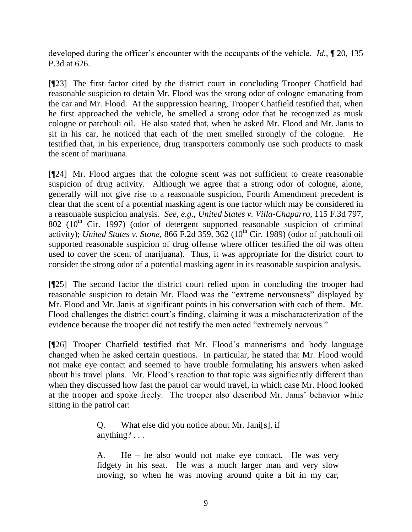developed during the officer's encounter with the occupants of the vehicle. *Id.*, 120, 135 P.3d at 626.

[¶23] The first factor cited by the district court in concluding Trooper Chatfield had reasonable suspicion to detain Mr. Flood was the strong odor of cologne emanating from the car and Mr. Flood. At the suppression hearing, Trooper Chatfield testified that, when he first approached the vehicle, he smelled a strong odor that he recognized as musk cologne or patchouli oil. He also stated that, when he asked Mr. Flood and Mr. Janis to sit in his car, he noticed that each of the men smelled strongly of the cologne. He testified that, in his experience, drug transporters commonly use such products to mask the scent of marijuana.

[¶24] Mr. Flood argues that the cologne scent was not sufficient to create reasonable suspicion of drug activity. Although we agree that a strong odor of cologne, alone, generally will not give rise to a reasonable suspicion, Fourth Amendment precedent is clear that the scent of a potential masking agent is one factor which may be considered in a reasonable suspicion analysis. *See, e.g*., *United States v. Villa-Chaparro,* 115 F.3d 797, 802 ( $10<sup>th</sup>$  Cir. 1997) (odor of detergent supported reasonable suspicion of criminal activity); *United States v. Stone, 866 F.2d 359, 362* (10<sup>th</sup> Cir. 1989) (odor of patchouli oil supported reasonable suspicion of drug offense where officer testified the oil was often used to cover the scent of marijuana). Thus, it was appropriate for the district court to consider the strong odor of a potential masking agent in its reasonable suspicion analysis.

[¶25] The second factor the district court relied upon in concluding the trooper had reasonable suspicion to detain Mr. Flood was the "extreme nervousness" displayed by Mr. Flood and Mr. Janis at significant points in his conversation with each of them. Mr. Flood challenges the district court's finding, claiming it was a mischaracterization of the evidence because the trooper did not testify the men acted "extremely nervous."

[¶26] Trooper Chatfield testified that Mr. Flood"s mannerisms and body language changed when he asked certain questions. In particular, he stated that Mr. Flood would not make eye contact and seemed to have trouble formulating his answers when asked about his travel plans. Mr. Flood"s reaction to that topic was significantly different than when they discussed how fast the patrol car would travel, in which case Mr. Flood looked at the trooper and spoke freely. The trooper also described Mr. Janis" behavior while sitting in the patrol car:

> Q. What else did you notice about Mr. Jani[s], if anything? . . .

A. He – he also would not make eye contact. He was very fidgety in his seat. He was a much larger man and very slow moving, so when he was moving around quite a bit in my car,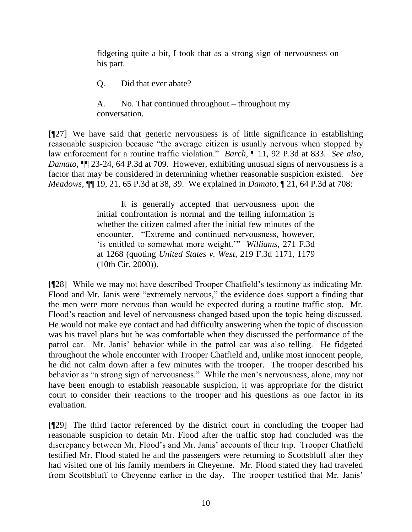fidgeting quite a bit, I took that as a strong sign of nervousness on his part.

Q. Did that ever abate?

A. No. That continued throughout – throughout my conversation.

[¶27] We have said that generic nervousness is of little significance in establishing reasonable suspicion because "the average citizen is usually nervous when stopped by law enforcement for a routine traffic violation." *Barch,* ¶ 11, 92 P.3d at 833. *See also*, *Damato,* ¶¶ 23-24, 64 P.3d at 709. However, exhibiting unusual signs of nervousness is a factor that may be considered in determining whether reasonable suspicion existed. *See Meadows,* ¶¶ 19, 21, 65 P.3d at 38, 39. We explained in *Damato,* ¶ 21, 64 P.3d at 708:

> It is generally accepted that nervousness upon the initial confrontation is normal and the telling information is whether the citizen calmed after the initial few minutes of the encounter. "Extreme and continued nervousness, however, 'is entitled to somewhat more weight.'" *Williams*, 271 F.3d at 1268 (quoting *United States v. West*, 219 F.3d 1171, 1179 (10th Cir. 2000)).

[¶28] While we may not have described Trooper Chatfield"s testimony as indicating Mr. Flood and Mr. Janis were "extremely nervous," the evidence does support a finding that the men were more nervous than would be expected during a routine traffic stop. Mr. Flood"s reaction and level of nervousness changed based upon the topic being discussed. He would not make eye contact and had difficulty answering when the topic of discussion was his travel plans but he was comfortable when they discussed the performance of the patrol car. Mr. Janis" behavior while in the patrol car was also telling. He fidgeted throughout the whole encounter with Trooper Chatfield and, unlike most innocent people, he did not calm down after a few minutes with the trooper. The trooper described his behavior as "a strong sign of nervousness." While the men's nervousness, alone, may not have been enough to establish reasonable suspicion, it was appropriate for the district court to consider their reactions to the trooper and his questions as one factor in its evaluation.

[¶29] The third factor referenced by the district court in concluding the trooper had reasonable suspicion to detain Mr. Flood after the traffic stop had concluded was the discrepancy between Mr. Flood"s and Mr. Janis" accounts of their trip. Trooper Chatfield testified Mr. Flood stated he and the passengers were returning to Scottsbluff after they had visited one of his family members in Cheyenne. Mr. Flood stated they had traveled from Scottsbluff to Cheyenne earlier in the day. The trooper testified that Mr. Janis"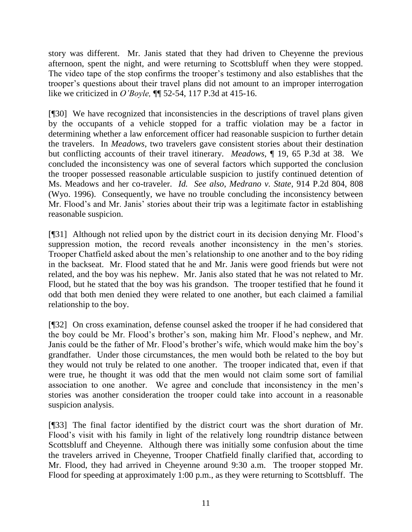story was different. Mr. Janis stated that they had driven to Cheyenne the previous afternoon, spent the night, and were returning to Scottsbluff when they were stopped. The video tape of the stop confirms the trooper"s testimony and also establishes that the trooper"s questions about their travel plans did not amount to an improper interrogation like we criticized in *O'Boyle,* ¶¶ 52-54, 117 P.3d at 415-16.

[¶30] We have recognized that inconsistencies in the descriptions of travel plans given by the occupants of a vehicle stopped for a traffic violation may be a factor in determining whether a law enforcement officer had reasonable suspicion to further detain the travelers. In *Meadows,* two travelers gave consistent stories about their destination but conflicting accounts of their travel itinerary. *Meadows,* ¶ 19, 65 P.3d at 38. We concluded the inconsistency was one of several factors which supported the conclusion the trooper possessed reasonable articulable suspicion to justify continued detention of Ms. Meadows and her co-traveler. *Id. See also*, *Medrano v. State,* 914 P.2d 804, 808 (Wyo. 1996). Consequently, we have no trouble concluding the inconsistency between Mr. Flood's and Mr. Janis' stories about their trip was a legitimate factor in establishing reasonable suspicion.

[¶31] Although not relied upon by the district court in its decision denying Mr. Flood"s suppression motion, the record reveals another inconsistency in the men's stories. Trooper Chatfield asked about the men"s relationship to one another and to the boy riding in the backseat. Mr. Flood stated that he and Mr. Janis were good friends but were not related, and the boy was his nephew. Mr. Janis also stated that he was not related to Mr. Flood, but he stated that the boy was his grandson. The trooper testified that he found it odd that both men denied they were related to one another, but each claimed a familial relationship to the boy.

[¶32] On cross examination, defense counsel asked the trooper if he had considered that the boy could be Mr. Flood"s brother"s son, making him Mr. Flood"s nephew, and Mr. Janis could be the father of Mr. Flood"s brother"s wife, which would make him the boy"s grandfather. Under those circumstances, the men would both be related to the boy but they would not truly be related to one another. The trooper indicated that, even if that were true, he thought it was odd that the men would not claim some sort of familial association to one another. We agree and conclude that inconsistency in the men"s stories was another consideration the trooper could take into account in a reasonable suspicion analysis.

[¶33] The final factor identified by the district court was the short duration of Mr. Flood"s visit with his family in light of the relatively long roundtrip distance between Scottsbluff and Cheyenne. Although there was initially some confusion about the time the travelers arrived in Cheyenne, Trooper Chatfield finally clarified that, according to Mr. Flood, they had arrived in Cheyenne around 9:30 a.m. The trooper stopped Mr. Flood for speeding at approximately 1:00 p.m., as they were returning to Scottsbluff. The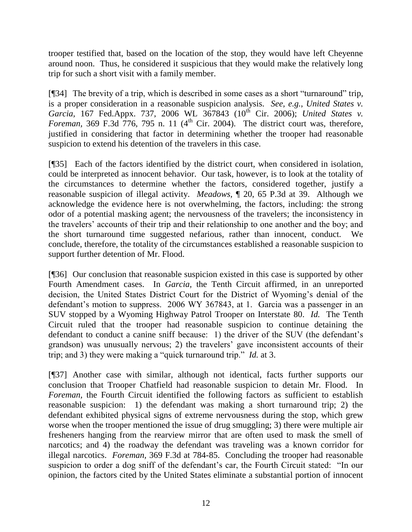trooper testified that, based on the location of the stop, they would have left Cheyenne around noon. Thus, he considered it suspicious that they would make the relatively long trip for such a short visit with a family member.

[¶34] The brevity of a trip, which is described in some cases as a short "turnaround" trip, is a proper consideration in a reasonable suspicion analysis. *See, e.g.*, *United States v.*  Garcia, 167 Fed.Appx. 737, 2006 WL 367843 (10<sup>th</sup> Cir. 2006); *United States v. Foreman,* 369 F.3d  $\overline{776}$ , 795 n. 11 (4<sup>th</sup> Cir. 2004). The district court was, therefore, justified in considering that factor in determining whether the trooper had reasonable suspicion to extend his detention of the travelers in this case.

[¶35] Each of the factors identified by the district court, when considered in isolation, could be interpreted as innocent behavior. Our task, however, is to look at the totality of the circumstances to determine whether the factors, considered together, justify a reasonable suspicion of illegal activity. *Meadows,* ¶ 20, 65 P.3d at 39. Although we acknowledge the evidence here is not overwhelming, the factors, including: the strong odor of a potential masking agent; the nervousness of the travelers; the inconsistency in the travelers" accounts of their trip and their relationship to one another and the boy; and the short turnaround time suggested nefarious, rather than innocent, conduct. We conclude, therefore, the totality of the circumstances established a reasonable suspicion to support further detention of Mr. Flood.

[¶36] Our conclusion that reasonable suspicion existed in this case is supported by other Fourth Amendment cases. In *Garcia,* the Tenth Circuit affirmed, in an unreported decision, the United States District Court for the District of Wyoming"s denial of the defendant's motion to suppress. 2006 WY 367843, at 1. Garcia was a passenger in an SUV stopped by a Wyoming Highway Patrol Trooper on Interstate 80. *Id.* The Tenth Circuit ruled that the trooper had reasonable suspicion to continue detaining the defendant to conduct a canine sniff because: 1) the driver of the SUV (the defendant's grandson) was unusually nervous; 2) the travelers" gave inconsistent accounts of their trip; and 3) they were making a "quick turnaround trip." *Id.* at 3.

[¶37] Another case with similar, although not identical, facts further supports our conclusion that Trooper Chatfield had reasonable suspicion to detain Mr. Flood. In *Foreman*, the Fourth Circuit identified the following factors as sufficient to establish reasonable suspicion: 1) the defendant was making a short turnaround trip; 2) the defendant exhibited physical signs of extreme nervousness during the stop, which grew worse when the trooper mentioned the issue of drug smuggling; 3) there were multiple air fresheners hanging from the rearview mirror that are often used to mask the smell of narcotics; and 4) the roadway the defendant was traveling was a known corridor for illegal narcotics. *Foreman,* 369 F.3d at 784-85. Concluding the trooper had reasonable suspicion to order a dog sniff of the defendant's car, the Fourth Circuit stated: "In our opinion, the factors cited by the United States eliminate a substantial portion of innocent